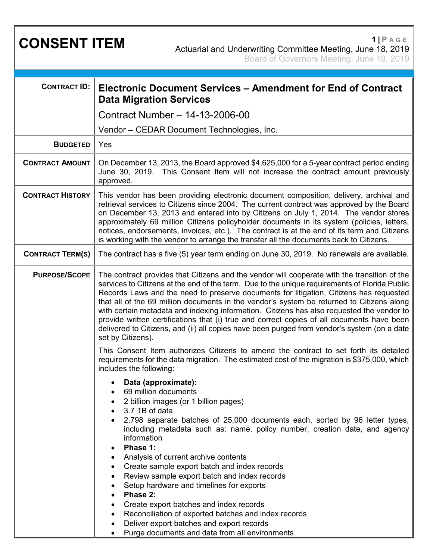**CONSENT ITEM <sup>1</sup> <sup>|</sup> <sup>P</sup> AGE** Actuarial and Underwriting Committee Meeting, June 18, 2019 Board of Governors Meeting, June 19, 2019

| <b>CONTRACT ID:</b>     | Electronic Document Services – Amendment for End of Contract<br><b>Data Migration Services</b>                                                                                                                                                                                                                                                                                                                                                                                                                                                                                                                                                                                                                                                                                                                                                                                               |
|-------------------------|----------------------------------------------------------------------------------------------------------------------------------------------------------------------------------------------------------------------------------------------------------------------------------------------------------------------------------------------------------------------------------------------------------------------------------------------------------------------------------------------------------------------------------------------------------------------------------------------------------------------------------------------------------------------------------------------------------------------------------------------------------------------------------------------------------------------------------------------------------------------------------------------|
|                         | Contract Number - 14-13-2006-00                                                                                                                                                                                                                                                                                                                                                                                                                                                                                                                                                                                                                                                                                                                                                                                                                                                              |
|                         | Vendor – CEDAR Document Technologies, Inc.                                                                                                                                                                                                                                                                                                                                                                                                                                                                                                                                                                                                                                                                                                                                                                                                                                                   |
| <b>BUDGETED</b>         | Yes                                                                                                                                                                                                                                                                                                                                                                                                                                                                                                                                                                                                                                                                                                                                                                                                                                                                                          |
| <b>CONTRACT AMOUNT</b>  | On December 13, 2013, the Board approved \$4,625,000 for a 5-year contract period ending<br>June 30, 2019. This Consent Item will not increase the contract amount previously<br>approved.                                                                                                                                                                                                                                                                                                                                                                                                                                                                                                                                                                                                                                                                                                   |
| <b>CONTRACT HISTORY</b> | This vendor has been providing electronic document composition, delivery, archival and<br>retrieval services to Citizens since 2004. The current contract was approved by the Board<br>on December 13, 2013 and entered into by Citizens on July 1, 2014. The vendor stores<br>approximately 69 million Citizens policyholder documents in its system (policies, letters,<br>notices, endorsements, invoices, etc.). The contract is at the end of its term and Citizens<br>is working with the vendor to arrange the transfer all the documents back to Citizens.                                                                                                                                                                                                                                                                                                                           |
| <b>CONTRACT TERM(S)</b> | The contract has a five (5) year term ending on June 30, 2019. No renewals are available.                                                                                                                                                                                                                                                                                                                                                                                                                                                                                                                                                                                                                                                                                                                                                                                                    |
| <b>PURPOSE/SCOPE</b>    | The contract provides that Citizens and the vendor will cooperate with the transition of the<br>services to Citizens at the end of the term. Due to the unique requirements of Florida Public<br>Records Laws and the need to preserve documents for litigation, Citizens has requested<br>that all of the 69 million documents in the vendor's system be returned to Citizens along<br>with certain metadata and indexing information. Citizens has also requested the vendor to<br>provide written certifications that (i) true and correct copies of all documents have been<br>delivered to Citizens, and (ii) all copies have been purged from vendor's system (on a date<br>set by Citizens).<br>This Consent Item authorizes Citizens to amend the contract to set forth its detailed<br>requirements for the data migration. The estimated cost of the migration is \$375,000, which |
|                         | includes the following:<br>Data (approximate):<br>69 million documents<br>2 billion images (or 1 billion pages)<br>3.7 TB of data<br>2,798 separate batches of 25,000 documents each, sorted by 96 letter types,<br>including metadata such as: name, policy number, creation date, and agency<br>information<br>Phase 1:<br>$\bullet$<br>Analysis of current archive contents<br>Create sample export batch and index records<br>$\bullet$<br>Review sample export batch and index records<br>٠<br>Setup hardware and timelines for exports<br>Phase 2:<br>Create export batches and index records<br>Reconciliation of exported batches and index records<br>$\bullet$<br>Deliver export batches and export records<br>٠<br>Purge documents and data from all environments                                                                                                                 |